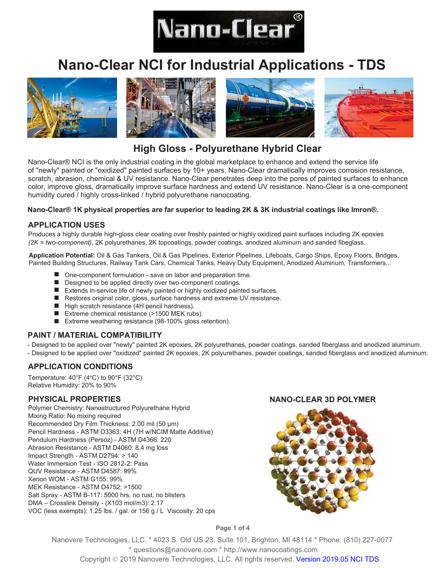

# **Nano-Clear NCI for Industrial Applications - TDS**





# **High Gloss - Polyurethane Hybrid Clear**

Nano-Clear® NCI is the only industrial coating in the global marketplace to enhance and extend the service life of "newly" painted or "oxidized" painted surfaces by 10+ years. Nano-Clear dramatically improves corrosion resistance, scratch, abrasion, chemical & UV resistance. Nano-Clear penetrates deep into the pores of painted surfaces to enhance color, improve gloss, dramatically improve surface hardness and extend UV resistance. Nano-Clear is a one-component humidity cured / highly cross-linked / hybrid polyurethane nanocoating.

#### **Nano-Clear® 1K physical properties are far superior to leading 2K & 3K industrial coatings like Imron®.**

## **APPLICATION USES**

Produces a highly durable high-gloss clear coating over freshly painted or highly oxidized paint surfaces including 2K epoxies (2K = two-component), 2K polyurethanes, 2K topcoatings, powder coatings, anodized aluminum and sanded fibeglass.

Application Potential: Oil & Gas Tankers, Oil & Gas Pipelines, Exterior Pipelines, Lifeboats, Cargo Ships, Epoxy Floors, Bridges, Painted Building Structures, Railway Tank Cars, Chemical Tanks, Heavy Duty Equipment, Anodized Aluminum, Transformers...

- One-component formulation - save on labor and preparation time.
- a a Designed to be applied directly over two-component coatings.
- $\blacksquare$  Extends in-service life of newly painted or highly oxidized painted surfaces.
- **Contract** Restores original color, gloss, surface hardness and extreme UV resistance.
- High scratch resistance (4H pencil hardness).
- Extreme chemical resistance (>1500 MEK rubs). **Contract**
- Extreme weathering resistance (98-100% gloss retention).

# **PAINT / MATERIAL COMPATIBILITY**

- Designed to be applied over "newly" painted 2K epoxies, 2K polyurethanes, powder coatings, sanded fiberglass and anodized aluminum.

- Designed to be applied over "oxidized" painted 2K epoxies, 2K polyurethanes, powder coatings, sanded fiberglass and anodized aluminum.

# **APPLICATION CONDITIONS**

Temperature:  $40^{\circ}$ F ( $4^{\circ}$ C) to  $90^{\circ}$ F ( $32^{\circ}$ C) Relative Humidity: 20% to 90%

#### **PHYSICAL PROPERTIES**

Polymer Chemistry: Nanostructured Polyurethane Hybrid Mixing Ratio: No mixing required Recommended Dry Film Thickness: 2.00 mil (50 µm) Pencil Hardness - ASTM D3363: 4H (7H w/NCIM Matte Additive) Pendulum Hardness (Persoz) - ASTM D4366: 220 Abrasion Resistance - ASTM D4060: 8.4 mg loss Impact Strength - ASTM D2794:  $> 140$ Water Immersion Test - ISO 2812-2: Pass QUV Resistance - ASTM D4587: 99% Xenon WOM - ASTM G155: 99% MFK Resistance - ASTM D4752: >1500 Salt Spray - ASTM B-117: 5000 hrs. no rust, no blisters DMA - Crosslink Density - (X103 mol/m3): 2.17 VOC (less exempts): 1.25 lbs. / gal. or  $156$  g / L Viscosity: 20 cps

#### **NANO-CLEAR 3D POLYMER**



Page 1 of 4

Nanovere Technologies, LLC. \* 4023 S. Old US 23, Suite 101, Brighton, MI 48114 \* Phone: (810) 227-0077 \* questions@nanovere.com \* http://www.nanocoatings.com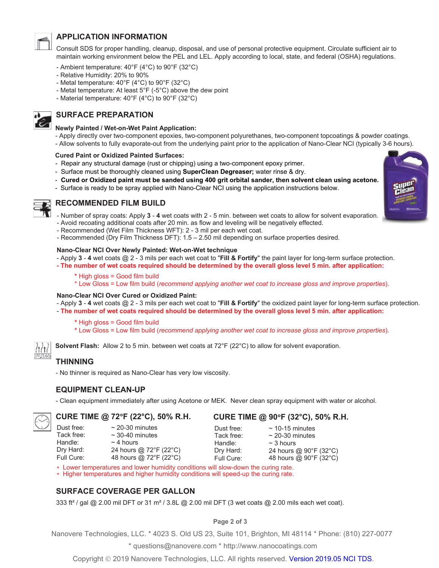

# **APPLICATION INFORMATION**

Consult SDS for proper handling, cleanup, disposal, and use of personal protective equipment. Circulate sufficient air to maintain working environment below the PEL and LEL. Apply according to local, state, and federal (OSHA) regulations.

- Ambient temperature: 40°F (4°C) to 90°F (32°C)
- Relative Humidity: 20% to 90%
- Metal temperature: 40°F (4°C) to 90°F (32°C)
- Metal temperature: At least 5°F (-5°C) above the dew point
- Material temperature: 40°F (4°C) to 90°F (32°C)

# **SURFACE PREPARATION**

#### **Newly Painted / Wet-on-Wet Paint Application:**

- Apply directly over two-component epoxies, two-component polyurethanes, two-component topcoatings & powder coatings.
- Allow solvents to fully evaporate-out from the underlying paint prior to the application of Nano-Clear NCI (typically 3-6 hours).

#### **Cured Paint or Oxidized Painted Surfaces:**

- Repair any structural damage (rust or chipping) using a two-component epoxy primer.
- Surface must be thoroughly cleaned using **SuperClean Degreaser**; water rinse & dry.
- Cured or Oxidized paint must be sanded using 400 grit orbital sander, then solvent clean using acetone.
- Surface is ready to be spray applied with Nano-Clear NCI using the application instructions below.



#### **RECOMMENDED FILM BUILD**

- Number of spray coats: Apply 3 4 wet coats with 2 5 min. between wet coats to allow for solvent evaporation.
- Avoid recoating additional coats after 20 min. as flow and leveling will be negatively effected.
- Recommended (Wet Film Thickness WFT): 2 3 mil per each wet coat.
- Recommended (Dry Film Thickness DFT): 1.5 2.50 mil depending on surface properties desired.

#### Nano-Clear NCI Over Newly Painted: Wet-on-Wet technique

- Apply 3 4 wet coats  $@ 2 3$  mils per each wet coat to "Fill & Fortify" the paint layer for long-term surface protection.
- The number of wet coats required should be determined by the overall gloss level 5 min. after application:
	- \* High gloss = Good film build

\* Low Gloss = Low film build (recommend applying another wet coat to increase gloss and improve properties).

#### Nano-Clear NCI Over Cured or Oxidized Paint:

- Apply 3 - 4 wet coats @ 2 - 3 mils per each wet coat to "Fill & Fortify" the oxidized paint layer for long-term surface protection.

- The number of wet coats required should be determined by the overall gloss level 5 min. after application:
	- \* High gloss = Good film build
	- \* Low Gloss = Low film build (recommend applying another wet coat to increase gloss and improve properties).

**Solvent Flash:** Allow 2 to 5 min. between wet coats at  $72^{\circ}F(22^{\circ}C)$  to allow for solvent evaporation.

# **THINNING**

Dust free:

Tack free:

Dry Hard:

Full Cure:

Handle:

- No thinner is required as Nano-Clear has very low viscosity.

#### **EQUIPMENT CLEAN-UP**

- Clean equipment immediately after using Acetone or MEK. Never clean spray equipment with water or alcohol.

#### CURE TIME @ 72°F (22°C), 50% R.H.

 $\sim$  20-30 minutes  $\sim$  30-40 minutes  $\sim$  4 hours 24 hours @ 72°F (22°C) 48 hours @ 72°F (22°C)

#### CURE TIME @ 90°F (32°C), 50% R.H.

Dust free:  $\sim$  10-15 minutes Tack free:  $\sim$  20-30 minutes Handle: Dry Hard: Full Cure:

 $\sim$  3 hours

24 hours @ 90°F (32°C) 48 hours @ 90°F (32°C)

\* Lower temperatures and lower humidity conditions will slow-down the curing rate.

\* Higher temperatures and higher humidity conditions will speed-up the curing rate.

# **SURFACE COVERAGE PER GALLON**

333 ft<sup>2</sup> / gal @ 2.00 mil DFT or 31 m<sup>2</sup> / 3.8L @ 2.00 mil DFT (3 wet coats @ 2.00 mils each wet coat).

#### Page 2 of 3

Nanovere Technologies, LLC. \* 4023 S. Old US 23, Suite 101, Brighton, MI 48114 \* Phone: (810) 227-0077

\* questions@nanovere.com \* http://www.nanocoatings.com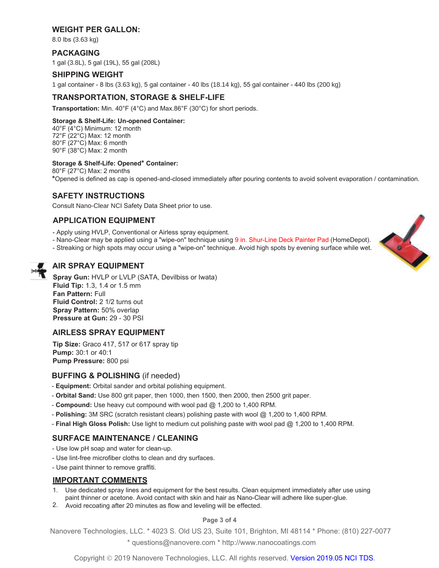# **WEIGHT PER GALLON:**

8.0 lbs (3.63 kg)

# **PACKAGING**

1 gal (3.8L), 5 gal (19L), 55 gal (208L)

#### **SHIPPING WEIGHT**

1 gal container - 8 lbs (3.63 kg), 5 gal container - 40 lbs (18.14 kg), 55 gal container - 440 lbs (200 kg)

# **TRANSPORTATION, STORAGE & SHELF-LIFE**

Transportation: Min. 40°F (4°C) and Max.86°F (30°C) for short periods.

#### Storage & Shelf-Life: Un-opened Container:

40°F (4°C) Minimum: 12 month 72°F (22°C) Max: 12 month 80°F (27°C) Max: 6 month  $90^{\circ}$ F (38 $^{\circ}$ C) Max: 2 month

#### Storage & Shelf-Life: Opened\* Container:

80°F (27°C) Max: 2 months \*Opened is defined as cap is opened-and-closed immediately after pouring contents to avoid solvent evaporation / contamination.

## **SAFETY INSTRUCTIONS**

Consult Nano-Clear NCI Safety Data Sheet prior to use.

## **APPLICATION EQUIPMENT**

- Apply using HVLP, Conventional or Airless spray equipment.
- Nano-Clear may be applied using a "wipe-on" technique using 9 in. Shur-Line Deck Painter Pad (HomeDepot).
- Streaking or high spots may occur using a "wipe-on" technique. Avoid high spots by evening surface while wet.



# **AIR SPRAY EQUIPMENT**

Spray Gun: HVLP or LVLP (SATA, Devilbiss or Iwata) Fluid Tip: 1.3, 1.4 or 1.5 mm Fan Pattern: Full Fluid Control: 2 1/2 turns out Spray Pattern: 50% overlap Pressure at Gun: 29 - 30 PSI

# **AIRLESS SPRAY EQUIPMENT**

Tip Size: Graco 417, 517 or 617 spray tip **Pump: 30:1 or 40:1** Pump Pressure: 800 psi

# **BUFFING & POLISHING (if needed)**

- Equipment: Orbital sander and orbital polishing equipment.
- Orbital Sand: Use 800 grit paper, then 1000, then 1500, then 2000, then 2500 grit paper.
- Compound: Use heavy cut compound with wool pad @ 1,200 to 1,400 RPM.
- Polishing: 3M SRC (scratch resistant clears) polishing paste with wool  $@$  1,200 to 1,400 RPM.
- Final High Gloss Polish: Use light to medium cut polishing paste with wool pad @ 1,200 to 1,400 RPM.

#### **SURFACE MAINTENANCE / CLEANING**

- Use low pH soap and water for clean-up.
- Use lint-free microfiber cloths to clean and dry surfaces.
- Use paint thinner to remove graffiti.

#### **IMPORTANT COMMENTS**

- 1. Use dedicated spray lines and equipment for the best results. Clean equipment immediately after use using paint thinner or acetone. Avoid contact with skin and hair as Nano-Clear will adhere like super-glue.
- 2. Avoid recoating after 20 minutes as flow and leveling will be effected.

#### Page 3 of 4

Nanovere Technologies, LLC. \* 4023 S. Old US 23, Suite 101, Brighton, MI 48114 \* Phone: (810) 227-0077 \* questions@nanovere.com \* http://www.nanocoatings.com